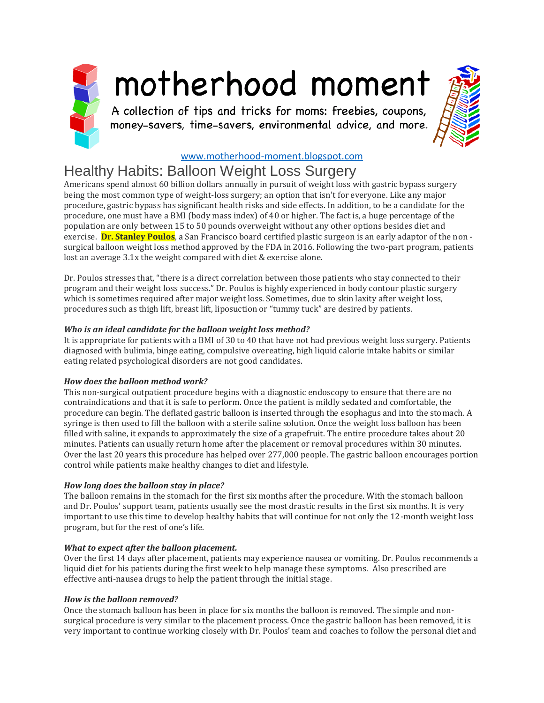

# motherhood moment

A collection of tips and tricks for moms: freebies, coupons, money-savers, time-savers, environmental advice, and more.



# [www.motherhood-moment.blogspot.com](http://www.motherhood-moment.blogspot.com/)

# Healthy Habits: Balloon Weight Loss Surgery

Americans spend almost 60 billion dollars annually in pursuit of weight loss with gastric bypass surgery being the most common type of weight-loss surgery; an option that isn't for everyone. Like any major procedure, gastric bypass has significant health risks and side effects. In addition, to be a candidate for the procedure, one must have a BMI (body mass index) of 40 or higher. The fact is, a huge percentage of the population are only between 15 to 50 pounds overweight without any other options besides diet and exercise. **Dr. Stanley Poulos**, a San Francisco board certified plastic surgeon is an early adaptor of the non surgical balloon weight loss method approved by the FDA in 2016. Following the two-part program, patients lost an average 3.1x the weight compared with diet & exercise alone.

Dr. Poulos stresses that, "there is a direct correlation between those patients who stay connected to their program and their weight loss success." Dr. Poulos is highly experienced in body contour plastic surgery which is sometimes required after major weight loss. Sometimes, due to skin laxity after weight loss, procedures such as thigh lift, breast lift, liposuction or "tummy tuck" are desired by patients.

# *Who is an ideal candidate for the balloon weight loss method?*

It is appropriate for patients with a BMI of 30 to 40 that have not had previous weight loss surgery. Patients diagnosed with bulimia, binge eating, compulsive overeating, high liquid calorie intake habits or similar eating related psychological disorders are not good candidates.

#### *How does the balloon method work?*

This non-surgical outpatient procedure begins with a diagnostic endoscopy to ensure that there are no contraindications and that it is safe to perform. Once the patient is mildly sedated and comfortable, the procedure can begin. The deflated gastric balloon is inserted through the esophagus and into the stomach. A syringe is then used to fill the balloon with a sterile saline solution. Once the weight loss balloon has been filled with saline, it expands to approximately the size of a grapefruit. The entire procedure takes about 20 minutes. Patients can usually return home after the placement or removal procedures within 30 minutes. Over the last 20 years this procedure has helped over 277,000 people. The gastric balloon encourages portion control while patients make healthy changes to diet and lifestyle.

# *How long does the balloon stay in place?*

The balloon remains in the stomach for the first six months after the procedure. With the stomach balloon and Dr. Poulos' support team, patients usually see the most drastic results in the first six months. It is very important to use this time to develop healthy habits that will continue for not only the 12-month weight loss program, but for the rest of one's life.

# *What to expect after the balloon placement.*

Over the first 14 days after placement, patients may experience nausea or vomiting. Dr. Poulos recommends a liquid diet for his patients during the first week to help manage these symptoms. Also prescribed are effective anti-nausea drugs to help the patient through the initial stage.

#### *How is the balloon removed?*

Once the stomach balloon has been in place for six months the balloon is removed. The simple and nonsurgical procedure is very similar to the placement process. Once the gastric balloon has been removed, it is very important to continue working closely with Dr. Poulos' team and coaches to follow the personal diet and